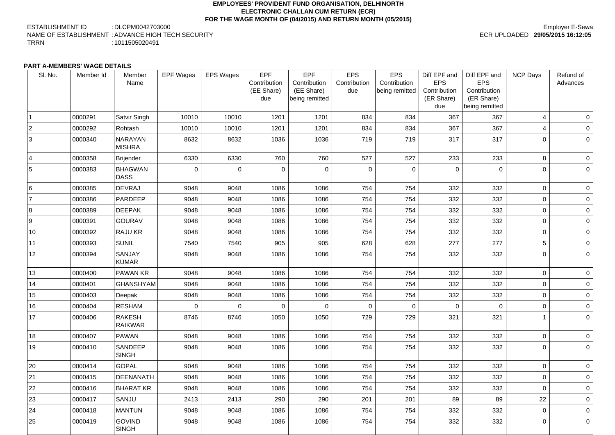#### **EMPLOYEES' PROVIDENT FUND ORGANISATION, DELHINORTH ELECTRONIC CHALLAN CUM RETURN (ECR) FOR THE WAGE MONTH OF (04/2015) AND RETURN MONTH (05/2015)**

ESTABLISHMENT ID : DLCPM0042703000 NAME OF ESTABLISHMENT : ADVANCE HIGH TECH SECURITY TRRN : 1011505020491

## Employer E-Sewa ECR UPLOADED **29/05/2015 16:12:05**

#### **PART A-MEMBERS' WAGE DETAILS**

| SI. No.        | Member Id | Member<br>Name                  | <b>EPF Wages</b> | <b>EPS Wages</b> | <b>EPF</b><br>Contribution<br>(EE Share)<br>due | <b>EPF</b><br>Contribution<br>(EE Share)<br>being remitted | <b>EPS</b><br>Contribution<br>due | <b>EPS</b><br>Contribution<br>being remitted | Diff EPF and<br><b>EPS</b><br>Contribution<br>(ER Share)<br>due | Diff EPF and<br><b>EPS</b><br>Contribution<br>(ER Share)<br>being remitted | <b>NCP Days</b> | Refund of<br>Advances |
|----------------|-----------|---------------------------------|------------------|------------------|-------------------------------------------------|------------------------------------------------------------|-----------------------------------|----------------------------------------------|-----------------------------------------------------------------|----------------------------------------------------------------------------|-----------------|-----------------------|
|                | 0000291   | Satvir Singh                    | 10010            | 10010            | 1201                                            | 1201                                                       | 834                               | 834                                          | 367                                                             | 367                                                                        | $\overline{4}$  | $\overline{0}$        |
| 2              | 0000292   | Rohtash                         | 10010            | 10010            | 1201                                            | 1201                                                       | 834                               | 834                                          | 367                                                             | 367                                                                        | 4               | $\overline{0}$        |
| 3              | 0000340   | <b>NARAYAN</b><br><b>MISHRA</b> | 8632             | 8632             | 1036                                            | 1036                                                       | 719                               | 719                                          | 317                                                             | 317                                                                        | $\overline{0}$  | $\overline{0}$        |
| $\overline{4}$ | 0000358   | Brijender                       | 6330             | 6330             | 760                                             | 760                                                        | 527                               | 527                                          | 233                                                             | 233                                                                        | 8               | $\overline{0}$        |
| 5              | 0000383   | <b>BHAGWAN</b><br><b>DASS</b>   | 0                | $\overline{0}$   | $\overline{0}$                                  | $\overline{0}$                                             | $\overline{0}$                    | $\overline{0}$                               | $\mathbf 0$                                                     | $\mathbf 0$                                                                | $\overline{0}$  | $\overline{0}$        |
| 6              | 0000385   | <b>DEVRAJ</b>                   | 9048             | 9048             | 1086                                            | 1086                                                       | 754                               | 754                                          | 332                                                             | 332                                                                        | $\overline{0}$  | $\overline{0}$        |
|                | 0000386   | <b>PARDEEP</b>                  | 9048             | 9048             | 1086                                            | 1086                                                       | 754                               | 754                                          | 332                                                             | 332                                                                        | $\overline{0}$  | $\overline{0}$        |
| 8              | 0000389   | <b>DEEPAK</b>                   | 9048             | 9048             | 1086                                            | 1086                                                       | 754                               | 754                                          | 332                                                             | 332                                                                        | $\overline{0}$  | $\overline{0}$        |
| <u>g</u>       | 0000391   | <b>GOURAV</b>                   | 9048             | 9048             | 1086                                            | 1086                                                       | 754                               | 754                                          | 332                                                             | 332                                                                        | $\overline{0}$  | $\overline{0}$        |
| 10             | 0000392   | <b>RAJU KR</b>                  | 9048             | 9048             | 1086                                            | 1086                                                       | 754                               | 754                                          | 332                                                             | 332                                                                        | $\overline{0}$  | $\overline{0}$        |
| 11             | 0000393   | <b>SUNIL</b>                    | 7540             | 7540             | 905                                             | 905                                                        | 628                               | 628                                          | 277                                                             | 277                                                                        | 5               | $\overline{0}$        |
| 12             | 0000394   | <b>SANJAY</b><br><b>KUMAR</b>   | 9048             | 9048             | 1086                                            | 1086                                                       | 754                               | 754                                          | 332                                                             | 332                                                                        | $\overline{0}$  | $\overline{0}$        |
| 13             | 0000400   | <b>PAWAN KR</b>                 | 9048             | 9048             | 1086                                            | 1086                                                       | 754                               | 754                                          | 332                                                             | 332                                                                        | $\overline{0}$  | $\overline{0}$        |
| 14             | 0000401   | <b>GHANSHYAM</b>                | 9048             | 9048             | 1086                                            | 1086                                                       | 754                               | 754                                          | 332                                                             | 332                                                                        | $\overline{0}$  | $\overline{0}$        |
| 15             | 0000403   | Deepak                          | 9048             | 9048             | 1086                                            | 1086                                                       | 754                               | 754                                          | 332                                                             | 332                                                                        | $\overline{0}$  | $\overline{0}$        |
| 16             | 0000404   | <b>RESHAM</b>                   | $\overline{0}$   | $\overline{0}$   | $\overline{0}$                                  | $\mathbf 0$                                                | $\overline{0}$                    | $\overline{0}$                               | $\overline{0}$                                                  | $\mathbf 0$                                                                | $\overline{0}$  | 0 <sup>1</sup>        |
| 17             | 0000406   | <b>RAKESH</b><br><b>RAIKWAR</b> | 8746             | 8746             | 1050                                            | 1050                                                       | 729                               | 729                                          | 321                                                             | 321                                                                        |                 | 0 <sup>1</sup>        |
| 18             | 0000407   | <b>PAWAN</b>                    | 9048             | 9048             | 1086                                            | 1086                                                       | 754                               | 754                                          | 332                                                             | 332                                                                        | $\overline{0}$  | $\overline{0}$        |
| 19             | 0000410   | <b>SANDEEP</b><br><b>SINGH</b>  | 9048             | 9048             | 1086                                            | 1086                                                       | 754                               | 754                                          | 332                                                             | 332                                                                        | $\overline{0}$  | $\overline{0}$        |
| 20             | 0000414   | <b>GOPAL</b>                    | 9048             | 9048             | 1086                                            | 1086                                                       | 754                               | 754                                          | 332                                                             | 332                                                                        | $\overline{0}$  | $\overline{0}$        |
| 21             | 0000415   | <b>DEENANATH</b>                | 9048             | 9048             | 1086                                            | 1086                                                       | 754                               | 754                                          | 332                                                             | 332                                                                        | $\overline{0}$  | $\overline{0}$        |
| 22             | 0000416   | <b>BHARAT KR</b>                | 9048             | 9048             | 1086                                            | 1086                                                       | 754                               | 754                                          | 332                                                             | 332                                                                        | $\overline{0}$  | $\overline{0}$        |
| 23             | 0000417   | <b>SANJU</b>                    | 2413             | 2413             | 290                                             | 290                                                        | 201                               | 201                                          | 89                                                              | 89                                                                         | 22              | $\overline{0}$        |
| 24             | 0000418   | <b>MANTUN</b>                   | 9048             | 9048             | 1086                                            | 1086                                                       | 754                               | 754                                          | 332                                                             | 332                                                                        | $\overline{0}$  | $\overline{0}$        |
| 25             | 0000419   | <b>GOVIND</b><br><b>SINGH</b>   | 9048             | 9048             | 1086                                            | 1086                                                       | 754                               | 754                                          | 332                                                             | 332                                                                        | $\overline{0}$  | $\overline{0}$        |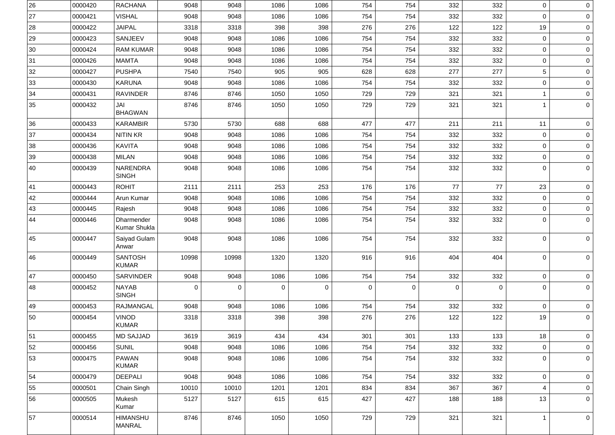| 26           | 0000420 | <b>RACHANA</b>                    | 9048        | 9048        | 1086        | 1086        | 754         | 754            | 332            | 332         | $\overline{0}$ | $\overline{0}$ |
|--------------|---------|-----------------------------------|-------------|-------------|-------------|-------------|-------------|----------------|----------------|-------------|----------------|----------------|
| 27           | 0000421 | <b>VISHAL</b>                     | 9048        | 9048        | 1086        | 1086        | 754         | 754            | 332            | 332         | $\overline{0}$ | $\overline{0}$ |
| 28           | 0000422 | <b>JAIPAL</b>                     | 3318        | 3318        | 398         | 398         | 276         | 276            | 122            | 122         | 19             | $\overline{0}$ |
| 29           | 0000423 | <b>SANJEEV</b>                    | 9048        | 9048        | 1086        | 1086        | 754         | 754            | 332            | 332         | $\overline{0}$ | $\overline{0}$ |
| $ 30\rangle$ | 0000424 | <b>RAM KUMAR</b>                  | 9048        | 9048        | 1086        | 1086        | 754         | 754            | 332            | 332         | $\overline{0}$ | $\circ$        |
| 31           | 0000426 | <b>MAMTA</b>                      | 9048        | 9048        | 1086        | 1086        | 754         | 754            | 332            | 332         | $\overline{0}$ | $\overline{0}$ |
| 32           | 0000427 | <b>PUSHPA</b>                     | 7540        | 7540        | 905         | 905         | 628         | 628            | 277            | 277         | 5              | $\overline{0}$ |
| 33           | 0000430 | <b>KARUNA</b>                     | 9048        | 9048        | 1086        | 1086        | 754         | 754            | 332            | 332         | $\overline{0}$ | $\overline{0}$ |
| 34           | 0000431 | <b>RAVINDER</b>                   | 8746        | 8746        | 1050        | 1050        | 729         | 729            | 321            | 321         |                | $\overline{0}$ |
| 35           | 0000432 | JAI<br><b>BHAGWAN</b>             | 8746        | 8746        | 1050        | 1050        | 729         | 729            | 321            | 321         |                | $\circ$        |
| 36           | 0000433 | <b>KARAMBIR</b>                   | 5730        | 5730        | 688         | 688         | 477         | 477            | 211            | 211         | 11             | $\overline{0}$ |
| 37           | 0000434 | <b>NITIN KR</b>                   | 9048        | 9048        | 1086        | 1086        | 754         | 754            | 332            | 332         | $\overline{0}$ | $\overline{0}$ |
| 38           | 0000436 | <b>KAVITA</b>                     | 9048        | 9048        | 1086        | 1086        | 754         | 754            | 332            | 332         | $\mathbf 0$    | $\overline{0}$ |
| 39           | 0000438 | <b>MILAN</b>                      | 9048        | 9048        | 1086        | 1086        | 754         | 754            | 332            | 332         | $\overline{0}$ | $\overline{0}$ |
| 40           | 0000439 | NARENDRA<br><b>SINGH</b>          | 9048        | 9048        | 1086        | 1086        | 754         | 754            | 332            | 332         | $\overline{0}$ | $\circ$        |
| 41           | 0000443 | <b>ROHIT</b>                      | 2111        | 2111        | 253         | 253         | 176         | 176            | 77             | 77          | 23             | $\overline{0}$ |
| 42           | 0000444 | Arun Kumar                        | 9048        | 9048        | 1086        | 1086        | 754         | 754            | 332            | 332         | $\overline{0}$ | $\circ$        |
| 43           | 0000445 | Rajesh                            | 9048        | 9048        | 1086        | 1086        | 754         | 754            | 332            | 332         | $\overline{0}$ | $\overline{0}$ |
| 44           | 0000446 | <b>Dharmender</b><br>Kumar Shukla | 9048        | 9048        | 1086        | 1086        | 754         | 754            | 332            | 332         | $\mathbf 0$    | $\circ$        |
| 45           | 0000447 | Saiyad Gulam<br>Anwar             | 9048        | 9048        | 1086        | 1086        | 754         | 754            | 332            | 332         | $\mathbf 0$    | $\overline{0}$ |
| 46           | 0000449 | <b>SANTOSH</b><br><b>KUMAR</b>    | 10998       | 10998       | 1320        | 1320        | 916         | 916            | 404            | 404         | $\mathbf{0}$   | $\circ$        |
| 47           | 0000450 | SARVINDER                         | 9048        | 9048        | 1086        | 1086        | 754         | 754            | 332            | 332         | $\overline{0}$ | $\overline{0}$ |
| 48           | 0000452 | <b>NAYAB</b><br><b>SINGH</b>      | $\mathbf 0$ | $\mathbf 0$ | $\mathbf 0$ | $\mathbf 0$ | $\mathbf 0$ | $\overline{0}$ | $\overline{0}$ | $\mathbf 0$ | $\overline{0}$ | $\overline{0}$ |
| 49           | 0000453 | <b>RAJMANGAL</b>                  | 9048        | 9048        | 1086        | 1086        | 754         | 754            | 332            | 332         | $\overline{0}$ | $\circ$        |
| 50           | 0000454 | <b>VINOD</b><br><b>KUMAR</b>      | 3318        | 3318        | 398         | 398         | 276         | 276            | 122            | 122         | 19             | $\circ$        |
| 51           | 0000455 | <b>MD SAJJAD</b>                  | 3619        | 3619        | 434         | 434         | 301         | 301            | 133            | 133         | 18             | 0 <sup>1</sup> |
| 52           | 0000456 | <b>SUNIL</b>                      | 9048        | 9048        | 1086        | 1086        | 754         | 754            | 332            | 332         | $\overline{0}$ | $\overline{0}$ |
| 53           | 0000475 | <b>PAWAN</b><br><b>KUMAR</b>      | 9048        | 9048        | 1086        | 1086        | 754         | 754            | 332            | 332         | $\overline{0}$ | $\overline{0}$ |
| 54           | 0000479 | <b>DEEPALI</b>                    | 9048        | 9048        | 1086        | 1086        | 754         | 754            | 332            | 332         | $\overline{0}$ | $\overline{0}$ |
| 55           | 0000501 | Chain Singh                       | 10010       | 10010       | 1201        | 1201        | 834         | 834            | 367            | 367         | 4              | $\overline{0}$ |
| 56           | 0000505 | Mukesh<br>Kumar                   | 5127        | 5127        | 615         | 615         | 427         | 427            | 188            | 188         | 13             | $\overline{0}$ |
| 57           | 0000514 | <b>HIMANSHU</b><br><b>MANRAL</b>  | 8746        | 8746        | 1050        | 1050        | 729         | 729            | 321            | 321         |                | $\overline{0}$ |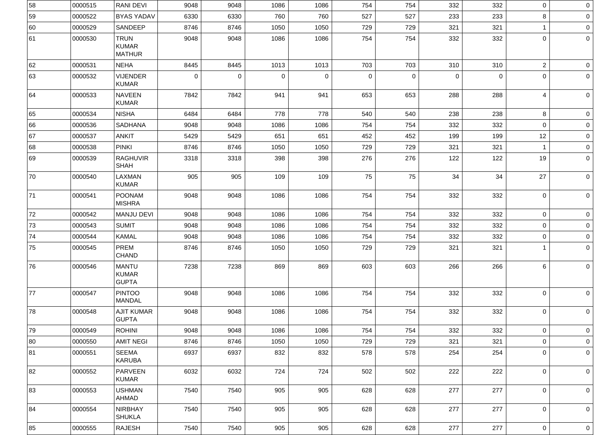| 58 | 0000515 | <b>RANI DEVI</b>                             | 9048        | 9048           | 1086        | 1086           | 754         | 754         | 332            | 332         | $\overline{0}$   | 0 <sup>1</sup> |
|----|---------|----------------------------------------------|-------------|----------------|-------------|----------------|-------------|-------------|----------------|-------------|------------------|----------------|
| 59 | 0000522 | <b>BYAS YADAV</b>                            | 6330        | 6330           | 760         | 760            | 527         | 527         | 233            | 233         | 8                | $\overline{0}$ |
| 60 | 0000529 | <b>SANDEEP</b>                               | 8746        | 8746           | 1050        | 1050           | 729         | 729         | 321            | 321         |                  | 0 <sup>1</sup> |
| 61 | 0000530 | <b>TRUN</b><br><b>KUMAR</b><br><b>MATHUR</b> | 9048        | 9048           | 1086        | 1086           | 754         | 754         | 332            | 332         | $\overline{0}$   | $\overline{0}$ |
| 62 | 0000531 | <b>NEHA</b>                                  | 8445        | 8445           | 1013        | 1013           | 703         | 703         | 310            | 310         | $\overline{2}$   | 0 <sup>1</sup> |
| 63 | 0000532 | <b>VIJENDER</b><br><b>KUMAR</b>              | $\mathbf 0$ | $\overline{0}$ | $\mathbf 0$ | $\overline{0}$ | $\mathbf 0$ | $\mathbf 0$ | $\overline{0}$ | $\mathbf 0$ | $\overline{0}$   | 0 <sup>1</sup> |
| 64 | 0000533 | <b>NAVEEN</b><br><b>KUMAR</b>                | 7842        | 7842           | 941         | 941            | 653         | 653         | 288            | 288         | $\overline{4}$   | 0 <sup>1</sup> |
| 65 | 0000534 | <b>NISHA</b>                                 | 6484        | 6484           | 778         | 778            | 540         | 540         | 238            | 238         | 8                | 0 <sup>1</sup> |
| 66 | 0000536 | <b>SADHANA</b>                               | 9048        | 9048           | 1086        | 1086           | 754         | 754         | 332            | 332         | $\mathbf 0$      | 0 <sup>1</sup> |
| 67 | 0000537 | <b>ANKIT</b>                                 | 5429        | 5429           | 651         | 651            | 452         | 452         | 199            | 199         | 12               | $\overline{0}$ |
| 68 | 0000538 | <b>PINKI</b>                                 | 8746        | 8746           | 1050        | 1050           | 729         | 729         | 321            | 321         |                  | 0 <sup>1</sup> |
| 69 | 0000539 | <b>RAGHUVIR</b><br><b>SHAH</b>               | 3318        | 3318           | 398         | 398            | 276         | 276         | 122            | 122         | 19               | 0 <sup>1</sup> |
| 70 | 0000540 | <b>LAXMAN</b><br><b>KUMAR</b>                | 905         | 905            | 109         | 109            | 75          | 75          | 34             | 34          | 27               | 0 <sup>1</sup> |
| 71 | 0000541 | <b>POONAM</b><br><b>MISHRA</b>               | 9048        | 9048           | 1086        | 1086           | 754         | 754         | 332            | 332         | $\boldsymbol{0}$ | 0 <sup>1</sup> |
| 72 | 0000542 | <b>MANJU DEVI</b>                            | 9048        | 9048           | 1086        | 1086           | 754         | 754         | 332            | 332         | $\pmb{0}$        | 0 <sup>1</sup> |
| 73 | 0000543 | <b>SUMIT</b>                                 | 9048        | 9048           | 1086        | 1086           | 754         | 754         | 332            | 332         | 0                | 0 <sup>1</sup> |
| 74 | 0000544 | <b>KAMAL</b>                                 | 9048        | 9048           | 1086        | 1086           | 754         | 754         | 332            | 332         | $\mathbf{0}$     | $\overline{0}$ |
| 75 | 0000545 | <b>PREM</b><br><b>CHAND</b>                  | 8746        | 8746           | 1050        | 1050           | 729         | 729         | 321            | 321         |                  | 0 <sup>1</sup> |
| 76 | 0000546 | <b>MANTU</b><br><b>KUMAR</b><br><b>GUPTA</b> | 7238        | 7238           | 869         | 869            | 603         | 603         | 266            | 266         | $\,6$            | 0 <sup>1</sup> |
| 77 | 0000547 | <b>PINTOO</b><br><b>MANDAL</b>               | 9048        | 9048           | 1086        | 1086           | 754         | 754         | 332            | 332         | $\overline{0}$   | 0 <sup>1</sup> |
| 78 | 0000548 | <b>AJIT KUMAR</b><br><b>GUPTA</b>            | 9048        | 9048           | 1086        | 1086           | 754         | 754         | 332            | 332         | $\boldsymbol{0}$ | 0 <sup>1</sup> |
| 79 | 0000549 | <b>ROHINI</b>                                | 9048        | 9048           | 1086        | 1086           | 754         | 754         | 332            | 332         | $\mathbf 0$      | 0 <sup>1</sup> |
| 80 | 0000550 | <b>AMIT NEGI</b>                             | 8746        | 8746           | 1050        | 1050           | 729         | 729         | 321            | 321         | $\mathbf 0$      | $\overline{0}$ |
| 81 | 0000551 | <b>SEEMA</b><br><b>KARUBA</b>                | 6937        | 6937           | 832         | 832            | 578         | 578         | 254            | 254         | $\boldsymbol{0}$ | 0 <sup>1</sup> |
| 82 | 0000552 | <b>PARVEEN</b><br><b>KUMAR</b>               | 6032        | 6032           | 724         | 724            | 502         | 502         | 222            | 222         | $\boldsymbol{0}$ | 0 <sup>1</sup> |
| 83 | 0000553 | <b>USHMAN</b><br><b>AHMAD</b>                | 7540        | 7540           | 905         | 905            | 628         | 628         | 277            | 277         | $\boldsymbol{0}$ | 0 <sup>1</sup> |
| 84 | 0000554 | <b>NIRBHAY</b><br><b>SHUKLA</b>              | 7540        | 7540           | 905         | 905            | 628         | 628         | 277            | 277         | $\boldsymbol{0}$ | 0 <sup>1</sup> |
| 85 | 0000555 | <b>RAJESH</b>                                | 7540        | 7540           | 905         | 905            | 628         | 628         | 277            | 277         | $\mathbf 0$      | 0 <sup>1</sup> |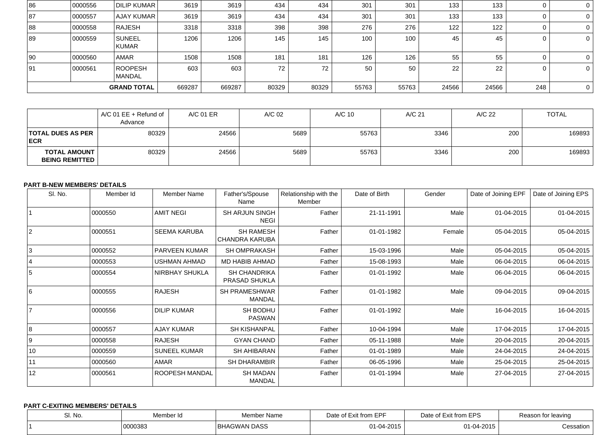| 86                 | 0000556 | DILIP KUMAR                     | 3619   | 3619   | 434   | 434   | 301   | 301   | 133   | 133   | 0   | $\overline{0}$ |
|--------------------|---------|---------------------------------|--------|--------|-------|-------|-------|-------|-------|-------|-----|----------------|
| 87                 | 0000557 | AJAY KUMAR                      | 3619   | 3619   | 434   | 434   | 301   | 301   | 133   | 133   |     | $\overline{0}$ |
| 88                 | 0000558 | <b>RAJESH</b>                   | 3318   | 3318   | 398   | 398   | 276   | 276   | 122   | 122   |     | $\overline{0}$ |
| 89                 | 0000559 | SUNEEL<br><b>KUMAR</b>          | 1206   | 1206   | 145   | 145   | 100   | 100   | 45    | 45    |     | $\overline{0}$ |
| $ 90\rangle$       | 0000560 | <b>AMAR</b>                     | 1508   | 1508   | 181   | 181   | 126   | 126   | 55    | 55    |     | $\overline{0}$ |
| 91                 | 0000561 | <b>ROOPESH</b><br><b>MANDAL</b> | 603    | 603    | 72    | 72    | 50    | 50    | 22    | 22    |     | $\overline{0}$ |
| <b>GRAND TOTAL</b> |         |                                 | 669287 | 669287 | 80329 | 80329 | 55763 | 55763 | 24566 | 24566 | 248 | $\overline{0}$ |

|                                              | $AC$ 01 EE + Refund of<br>Advance | A/C 01 ER | A/C 02 | A/C 10 | A/C 21 | A/C 22 | <b>TOTAL</b> |
|----------------------------------------------|-----------------------------------|-----------|--------|--------|--------|--------|--------------|
| <b>TOTAL DUES AS PER</b><br><b>ECR</b>       | 80329                             | 24566     | 5689   | 55763  | 3346   | 200    | 169893       |
| <b>TOTAL AMOUNT</b><br><b>BEING REMITTED</b> | 80329                             | 24566     | 5689   | 55763  | 3346   | 200    | 169893       |

#### **PART B-NEW MEMBERS' DETAILS**

| SI. No. | Member Id | <b>Member Name</b>    | Father's/Spouse                             | Relationship with the | Date of Birth | Gender | Date of Joining EPF | Date of Joining EPS |
|---------|-----------|-----------------------|---------------------------------------------|-----------------------|---------------|--------|---------------------|---------------------|
|         |           |                       | Name                                        | Member                |               |        |                     |                     |
|         | 0000550   | <b>AMIT NEGI</b>      | <b>SH ARJUN SINGH</b><br><b>NEGI</b>        | Father                | 21-11-1991    | Male   | 01-04-2015          | 01-04-2015          |
| 2       | 0000551   | <b>SEEMA KARUBA</b>   | <b>SH RAMESH</b><br><b>CHANDRA KARUBA</b>   | Father                | 01-01-1982    | Female | 05-04-2015          | 05-04-2015          |
| 3       | 0000552   | <b>PARVEEN KUMAR</b>  | <b>SH OMPRAKASH</b>                         | Father                | 15-03-1996    | Male   | 05-04-2015          | 05-04-2015          |
|         | 0000553   | <b>USHMAN AHMAD</b>   | <b>MD HABIB AHMAD</b>                       | Father                | 15-08-1993    | Male   | 06-04-2015          | 06-04-2015          |
| 5       | 0000554   | <b>NIRBHAY SHUKLA</b> | <b>SH CHANDRIKA</b><br><b>PRASAD SHUKLA</b> | Father                | 01-01-1992    | Male   | 06-04-2015          | 06-04-2015          |
| 16      | 0000555   | RAJESH                | <b>SH PRAMESHWAR</b><br><b>MANDAL</b>       | Father                | 01-01-1982    | Male   | 09-04-2015          | 09-04-2015          |
|         | 0000556   | <b>DILIP KUMAR</b>    | <b>SH BODHU</b><br><b>PASWAN</b>            | Father                | 01-01-1992    | Male   | 16-04-2015          | 16-04-2015          |
| 8       | 0000557   | <b>AJAY KUMAR</b>     | <b>SH KISHANPAL</b>                         | Father                | 10-04-1994    | Male   | 17-04-2015          | 17-04-2015          |
| l 9     | 0000558   | RAJESH                | <b>GYAN CHAND</b>                           | Father                | 05-11-1988    | Male   | 20-04-2015          | 20-04-2015          |
| 10      | 0000559   | <b>SUNEEL KUMAR</b>   | <b>SH AHIBARAN</b>                          | Father                | 01-01-1989    | Male   | 24-04-2015          | 24-04-2015          |
| 11      | 0000560   | AMAR                  | <b>SH DHARAMBIR</b>                         | Father                | 06-05-1996    | Male   | 25-04-2015          | 25-04-2015          |
| 12      | 0000561   | <b>ROOPESH MANDAL</b> | <b>SH MADAN</b><br><b>MANDAL</b>            | Father                | 01-01-1994    | Male   | 27-04-2015          | 27-04-2015          |

## **PART C-EXITING MEMBERS' DETAILS**

| SI. No. | Member Id | Member Name         | Date of Exit from EPF | <b>Exit from EPS</b><br>Date of | Reason for leaving |
|---------|-----------|---------------------|-----------------------|---------------------------------|--------------------|
|         | 0000383   | <b>BHAGWAN DASS</b> | 01-04-2015            | 01-04-2015                      | Cessation          |